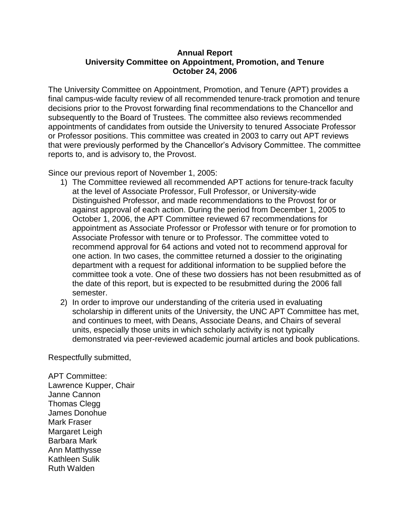## **Annual Report University Committee on Appointment, Promotion, and Tenure October 24, 2006**

The University Committee on Appointment, Promotion, and Tenure (APT) provides a final campus-wide faculty review of all recommended tenure-track promotion and tenure decisions prior to the Provost forwarding final recommendations to the Chancellor and subsequently to the Board of Trustees. The committee also reviews recommended appointments of candidates from outside the University to tenured Associate Professor or Professor positions. This committee was created in 2003 to carry out APT reviews that were previously performed by the Chancellor's Advisory Committee. The committee reports to, and is advisory to, the Provost.

Since our previous report of November 1, 2005:

- 1) The Committee reviewed all recommended APT actions for tenure-track faculty at the level of Associate Professor, Full Professor, or University-wide Distinguished Professor, and made recommendations to the Provost for or against approval of each action. During the period from December 1, 2005 to October 1, 2006, the APT Committee reviewed 67 recommendations for appointment as Associate Professor or Professor with tenure or for promotion to Associate Professor with tenure or to Professor. The committee voted to recommend approval for 64 actions and voted not to recommend approval for one action. In two cases, the committee returned a dossier to the originating department with a request for additional information to be supplied before the committee took a vote. One of these two dossiers has not been resubmitted as of the date of this report, but is expected to be resubmitted during the 2006 fall semester.
- 2) In order to improve our understanding of the criteria used in evaluating scholarship in different units of the University, the UNC APT Committee has met, and continues to meet, with Deans, Associate Deans, and Chairs of several units, especially those units in which scholarly activity is not typically demonstrated via peer-reviewed academic journal articles and book publications.

Respectfully submitted,

APT Committee: Lawrence Kupper, Chair Janne Cannon Thomas Clegg James Donohue Mark Fraser Margaret Leigh Barbara Mark Ann Matthysse Kathleen Sulik Ruth Walden